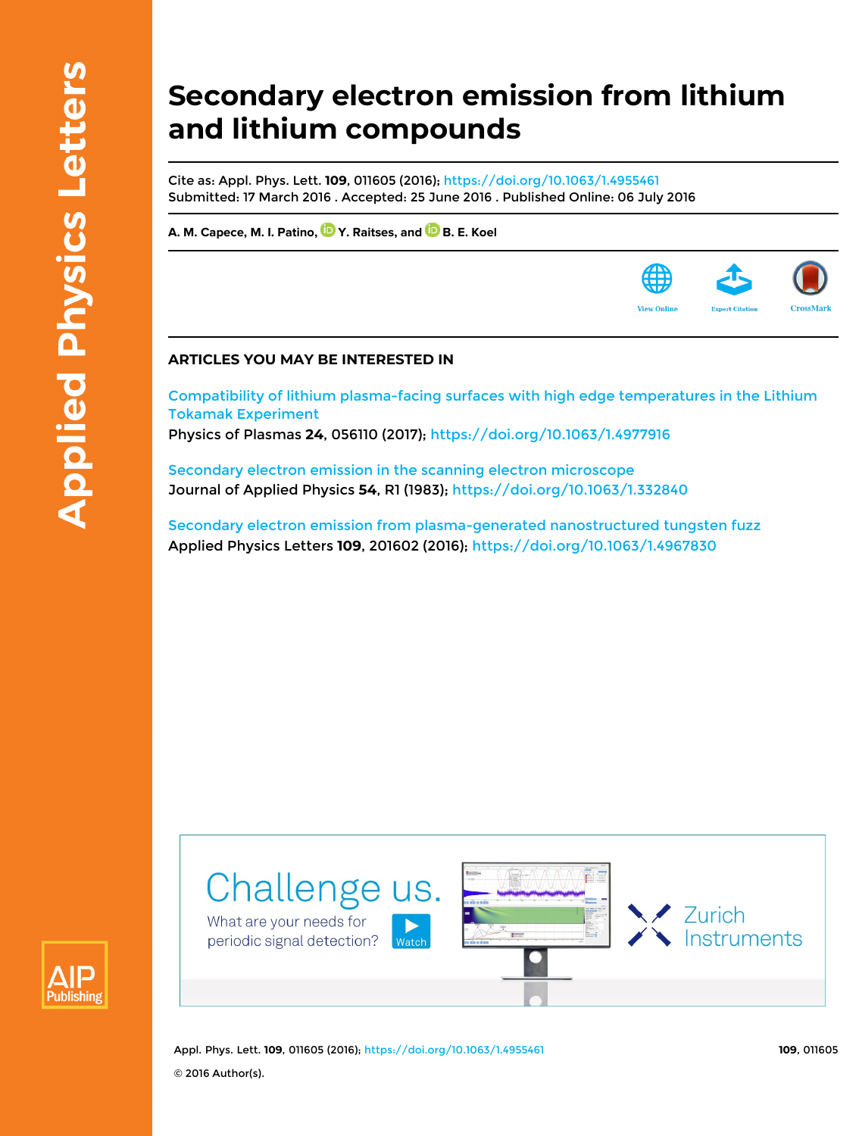## **Secondary electron emission from lithium and lithium compounds**

Cite as: Appl. Phys. Lett. **109**, 011605 (2016);<https://doi.org/10.1063/1.4955461> Submitted: 17 March 2016 . Accepted: 25 June 2016 . Published Online: 06 July 2016

**[A. M. Capece,](https://aip.scitation.org/author/Capece%2C+A+M) [M. I. Patino](https://aip.scitation.org/author/Patino%2C+M+I), [Y. Raitses](https://aip.scitation.org/author/Raitses%2C+Y), and[B. E. Koel](https://aip.scitation.org/author/Koel%2C+B+E)**

## **ARTICLES YOU MAY BE INTERESTED IN**

[Compatibility of lithium plasma-facing surfaces with high edge temperatures in the Lithium](https://aip.scitation.org/doi/10.1063/1.4977916) [Tokamak Experiment](https://aip.scitation.org/doi/10.1063/1.4977916)

Physics of Plasmas **24**, 056110 (2017); <https://doi.org/10.1063/1.4977916>

[Secondary electron emission in the scanning electron microscope](https://aip.scitation.org/doi/10.1063/1.332840) Journal of Applied Physics **54**, R1 (1983);<https://doi.org/10.1063/1.332840>

[Secondary electron emission from plasma-generated nanostructured tungsten fuzz](https://aip.scitation.org/doi/10.1063/1.4967830) Applied Physics Letters **109**, 201602 (2016); <https://doi.org/10.1063/1.4967830>





Appl. Phys. Lett. **109**, 011605 (2016); <https://doi.org/10.1063/1.4955461> **109**, 011605 © 2016 Author(s).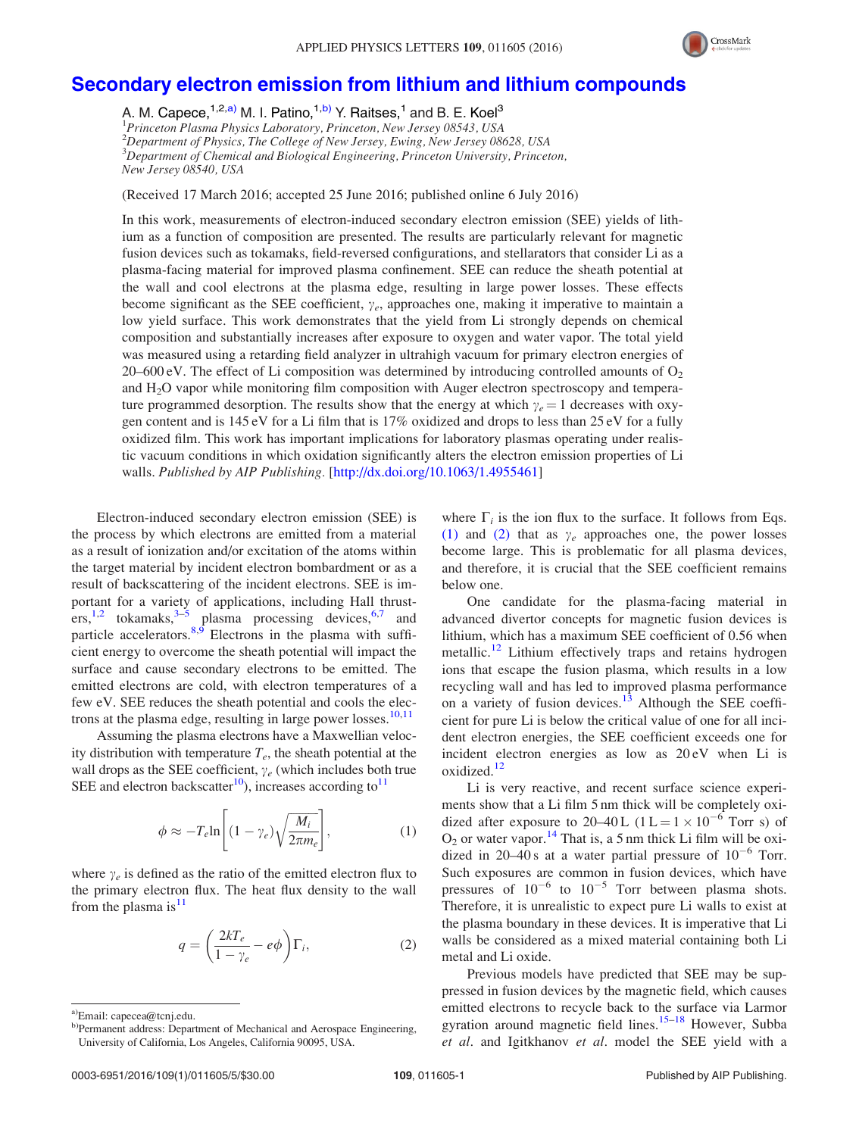

## [Secondary electron emission from lithium and lithium compounds](http://dx.doi.org/10.1063/1.4955461)

A. M. Capece, <sup>1,2,a)</sup> M. I. Patino, <sup>1,b)</sup> Y. Raitses, <sup>1</sup> and B. E. Koel<sup>3</sup><br><sup>1</sup>Princeton Plasma Physics Laboratory, Princeton, New Jersey 08543, USA <sup>2</sup>Department of Physics, The College of New Jersey, Ewing, New Jersey 08628, USA <sup>3</sup>Department of Chemical and Biological Engineering, Princeton University, Princeton, New Jersey 08540, USA

(Received 17 March 2016; accepted 25 June 2016; published online 6 July 2016)

In this work, measurements of electron-induced secondary electron emission (SEE) yields of lithium as a function of composition are presented. The results are particularly relevant for magnetic fusion devices such as tokamaks, field-reversed configurations, and stellarators that consider Li as a plasma-facing material for improved plasma confinement. SEE can reduce the sheath potential at the wall and cool electrons at the plasma edge, resulting in large power losses. These effects become significant as the SEE coefficient,  $\gamma_e$ , approaches one, making it imperative to maintain a low yield surface. This work demonstrates that the yield from Li strongly depends on chemical composition and substantially increases after exposure to oxygen and water vapor. The total yield was measured using a retarding field analyzer in ultrahigh vacuum for primary electron energies of 20–600 eV. The effect of Li composition was determined by introducing controlled amounts of  $O_2$ and H2O vapor while monitoring film composition with Auger electron spectroscopy and temperature programmed desorption. The results show that the energy at which  $\gamma_e = 1$  decreases with oxygen content and is 145 eV for a Li film that is 17% oxidized and drops to less than 25 eV for a fully oxidized film. This work has important implications for laboratory plasmas operating under realistic vacuum conditions in which oxidation significantly alters the electron emission properties of Li walls. Published by AIP Publishing. [[http://dx.doi.org/10.1063/1.4955461\]](http://dx.doi.org/10.1063/1.4955461)

Electron-induced secondary electron emission (SEE) is the process by which electrons are emitted from a material as a result of ionization and/or excitation of the atoms within the target material by incident electron bombardment or as a result of backscattering of the incident electrons. SEE is important for a variety of applications, including Hall thrust- $ers, <sup>1,2</sup>$  $ers, <sup>1,2</sup>$  $ers, <sup>1,2</sup>$  tokamaks,  $<sup>3-5</sup>$  plasma processing devices,  $<sup>6,7</sup>$  $<sup>6,7</sup>$  $<sup>6,7</sup>$  and</sup></sup> particle accelerators. $8,9$  Electrons in the plasma with sufficient energy to overcome the sheath potential will impact the surface and cause secondary electrons to be emitted. The emitted electrons are cold, with electron temperatures of a few eV. SEE reduces the sheath potential and cools the elec-trons at the plasma edge, resulting in large power losses.<sup>[10](#page-4-0),[11](#page-4-0)</sup>

Assuming the plasma electrons have a Maxwellian velocity distribution with temperature  $T_e$ , the sheath potential at the wall drops as the SEE coefficient,  $\gamma_e$  (which includes both true SEE and electron backscatter<sup>10</sup>), increases according to<sup>11</sup>

$$
\phi \approx -T_e \ln \left[ (1 - \gamma_e) \sqrt{\frac{M_i}{2\pi m_e}} \right],\tag{1}
$$

where  $\gamma_e$  is defined as the ratio of the emitted electron flux to the primary electron flux. The heat flux density to the wall from the plasma is  $11$ 

$$
q = \left(\frac{2kT_e}{1 - \gamma_e} - e\phi\right)\Gamma_i,\tag{2}
$$

where  $\Gamma_i$  is the ion flux to the surface. It follows from Eqs. (1) and (2) that as  $\gamma_e$  approaches one, the power losses become large. This is problematic for all plasma devices, and therefore, it is crucial that the SEE coefficient remains below one.

One candidate for the plasma-facing material in advanced divertor concepts for magnetic fusion devices is lithium, which has a maximum SEE coefficient of 0.56 when metallic.<sup>[12](#page-4-0)</sup> Lithium effectively traps and retains hydrogen ions that escape the fusion plasma, which results in a low recycling wall and has led to improved plasma performance on a variety of fusion devices.<sup>[13](#page-4-0)</sup> Although the SEE coefficient for pure Li is below the critical value of one for all incident electron energies, the SEE coefficient exceeds one for incident electron energies as low as 20 eV when Li is oxidized.<sup>12</sup>

Li is very reactive, and recent surface science experiments show that a Li film 5 nm thick will be completely oxidized after exposure to 20–40 L ( $1 L = 1 \times 10^{-6}$  Torr s) of  $O_2$  or water vapor.<sup>[14](#page-4-0)</sup> That is, a 5 nm thick Li film will be oxidized in 20–40 s at a water partial pressure of  $10^{-6}$  Torr. Such exposures are common in fusion devices, which have pressures of  $10^{-6}$  to  $10^{-5}$  Torr between plasma shots. Therefore, it is unrealistic to expect pure Li walls to exist at the plasma boundary in these devices. It is imperative that Li walls be considered as a mixed material containing both Li metal and Li oxide.

Previous models have predicted that SEE may be suppressed in fusion devices by the magnetic field, which causes emitted electrons to recycle back to the surface via Larmor gyration around magnetic field lines.<sup>[15](#page-4-0)–[18](#page-5-0)</sup> However, Subba et al. and Igitkhanov et al. model the SEE yield with a

<sup>&</sup>lt;sup>a)</sup>Email: capecea@tcni.edu.

b)Permanent address: Department of Mechanical and Aerospace Engineering, University of California, Los Angeles, California 90095, USA.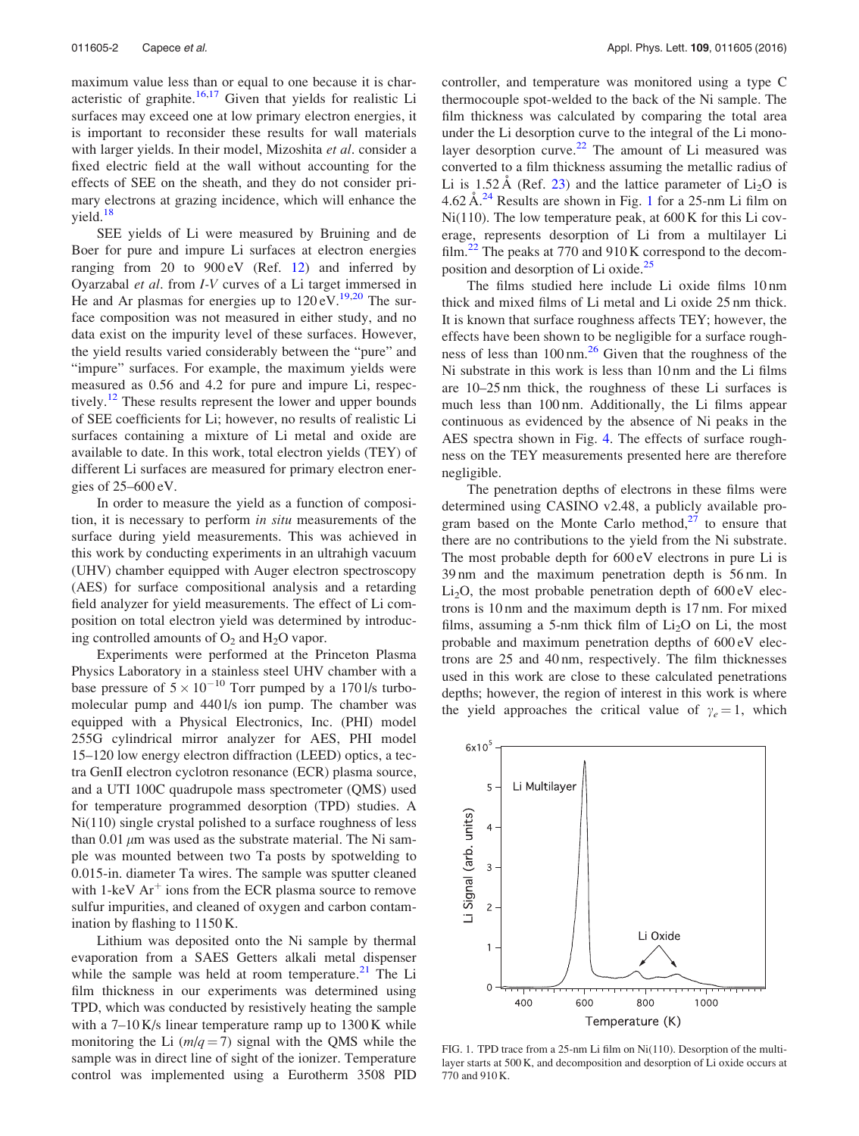<span id="page-2-0"></span>maximum value less than or equal to one because it is characteristic of graphite.<sup>16,17</sup> Given that yields for realistic Li surfaces may exceed one at low primary electron energies, it is important to reconsider these results for wall materials with larger yields. In their model, Mizoshita et al. consider a fixed electric field at the wall without accounting for the effects of SEE on the sheath, and they do not consider primary electrons at grazing incidence, which will enhance the yield.<sup>[18](#page-5-0)</sup>

SEE yields of Li were measured by Bruining and de Boer for pure and impure Li surfaces at electron energies ranging from 20 to  $900 \text{ eV}$  (Ref. [12](#page-4-0)) and inferred by Oyarzabal et al. from I-V curves of a Li target immersed in He and Ar plasmas for energies up to  $120 \text{ eV}$ .<sup>[19,20](#page-5-0)</sup> The surface composition was not measured in either study, and no data exist on the impurity level of these surfaces. However, the yield results varied considerably between the "pure" and "impure" surfaces. For example, the maximum yields were measured as 0.56 and 4.2 for pure and impure Li, respectively.<sup>12</sup> These results represent the lower and upper bounds of SEE coefficients for Li; however, no results of realistic Li surfaces containing a mixture of Li metal and oxide are available to date. In this work, total electron yields (TEY) of different Li surfaces are measured for primary electron energies of  $25-600$  eV.

In order to measure the yield as a function of composition, it is necessary to perform in situ measurements of the surface during yield measurements. This was achieved in this work by conducting experiments in an ultrahigh vacuum (UHV) chamber equipped with Auger electron spectroscopy (AES) for surface compositional analysis and a retarding field analyzer for yield measurements. The effect of Li composition on total electron yield was determined by introducing controlled amounts of  $O_2$  and  $H_2O$  vapor.

Experiments were performed at the Princeton Plasma Physics Laboratory in a stainless steel UHV chamber with a base pressure of  $5 \times 10^{-10}$  Torr pumped by a 170 l/s turbomolecular pump and 440 l/s ion pump. The chamber was equipped with a Physical Electronics, Inc. (PHI) model 255G cylindrical mirror analyzer for AES, PHI model 15–120 low energy electron diffraction (LEED) optics, a tectra GenII electron cyclotron resonance (ECR) plasma source, and a UTI 100C quadrupole mass spectrometer (QMS) used for temperature programmed desorption (TPD) studies. A Ni(110) single crystal polished to a surface roughness of less than 0.01  $\mu$ m was used as the substrate material. The Ni sample was mounted between two Ta posts by spotwelding to 0.015-in. diameter Ta wires. The sample was sputter cleaned with 1-keV  $Ar<sup>+</sup>$  ions from the ECR plasma source to remove sulfur impurities, and cleaned of oxygen and carbon contamination by flashing to 1150 K.

Lithium was deposited onto the Ni sample by thermal evaporation from a SAES Getters alkali metal dispenser while the sample was held at room temperature. $^{21}$  $^{21}$  $^{21}$  The Li film thickness in our experiments was determined using TPD, which was conducted by resistively heating the sample with a 7–10 K/s linear temperature ramp up to 1300 K while monitoring the Li  $(m/q = 7)$  signal with the QMS while the sample was in direct line of sight of the ionizer. Temperature control was implemented using a Eurotherm 3508 PID controller, and temperature was monitored using a type C thermocouple spot-welded to the back of the Ni sample. The film thickness was calculated by comparing the total area under the Li desorption curve to the integral of the Li mono-layer desorption curve.<sup>[22](#page-5-0)</sup> The amount of Li measured was converted to a film thickness assuming the metallic radius of Li is 1.52 Å (Ref. [23](#page-5-0)) and the lattice parameter of  $Li<sub>2</sub>O$  is  $4.62 \text{ Å}^{24}$  $4.62 \text{ Å}^{24}$  $4.62 \text{ Å}^{24}$  Results are shown in Fig. 1 for a 25-nm Li film on Ni(110). The low temperature peak, at 600 K for this Li coverage, represents desorption of Li from a multilayer Li film. $^{22}$  $^{22}$  $^{22}$  The peaks at 770 and 910 K correspond to the decom-position and desorption of Li oxide.<sup>[25](#page-5-0)</sup>

The films studied here include Li oxide films 10 nm thick and mixed films of Li metal and Li oxide 25 nm thick. It is known that surface roughness affects TEY; however, the effects have been shown to be negligible for a surface roughness of less than  $100 \text{ nm}^{26}$  Given that the roughness of the Ni substrate in this work is less than 10 nm and the Li films are 10–25 nm thick, the roughness of these Li surfaces is much less than 100 nm. Additionally, the Li films appear continuous as evidenced by the absence of Ni peaks in the AES spectra shown in Fig. [4.](#page-4-0) The effects of surface roughness on the TEY measurements presented here are therefore negligible.

The penetration depths of electrons in these films were determined using CASINO v2.48, a publicly available program based on the Monte Carlo method, $27$  to ensure that there are no contributions to the yield from the Ni substrate. The most probable depth for 600 eV electrons in pure Li is 39 nm and the maximum penetration depth is 56 nm. In  $Li<sub>2</sub>O$ , the most probable penetration depth of  $600 \text{ eV}$  electrons is 10 nm and the maximum depth is 17 nm. For mixed films, assuming a 5-nm thick film of  $Li<sub>2</sub>O$  on Li, the most probable and maximum penetration depths of 600 eV electrons are 25 and 40 nm, respectively. The film thicknesses used in this work are close to these calculated penetrations depths; however, the region of interest in this work is where the yield approaches the critical value of  $\gamma_e = 1$ , which



FIG. 1. TPD trace from a 25-nm Li film on Ni(110). Desorption of the multilayer starts at 500 K, and decomposition and desorption of Li oxide occurs at 770 and 910 K.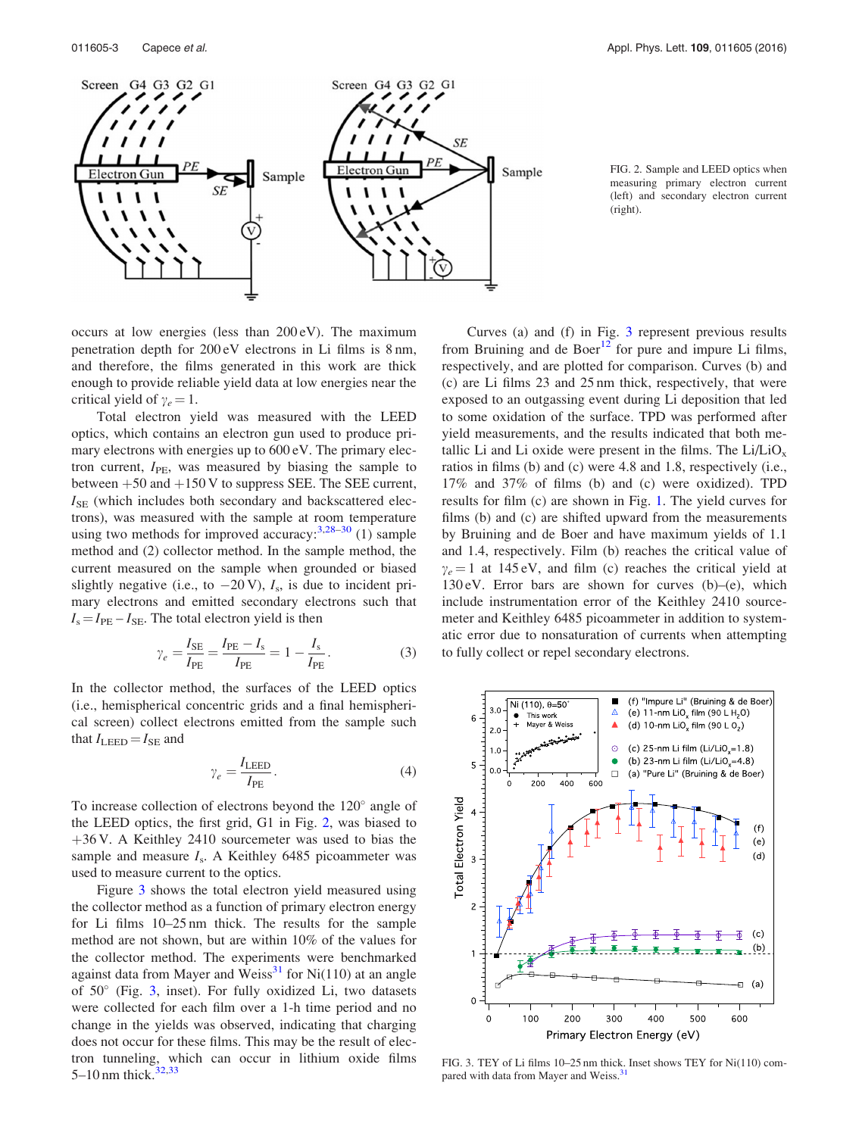<span id="page-3-0"></span>

FIG. 2. Sample and LEED optics when measuring primary electron current (left) and secondary electron current (right).

occurs at low energies (less than 200 eV). The maximum penetration depth for 200 eV electrons in Li films is 8 nm, and therefore, the films generated in this work are thick enough to provide reliable yield data at low energies near the critical yield of  $\gamma_e = 1$ .

Total electron yield was measured with the LEED optics, which contains an electron gun used to produce primary electrons with energies up to 600 eV. The primary electron current,  $I_{\text{PE}}$ , was measured by biasing the sample to between  $+50$  and  $+150$  V to suppress SEE. The SEE current,  $I_{\text{SE}}$  (which includes both secondary and backscattered electrons), was measured with the sample at room temperature using two methods for improved accuracy:  $3,28-30$  $3,28-30$  (1) sample method and (2) collector method. In the sample method, the current measured on the sample when grounded or biased slightly negative (i.e., to  $-20$  V),  $I_s$ , is due to incident primary electrons and emitted secondary electrons such that  $I_s = I_{PE} - I_{SE}$ . The total electron yield is then

$$
\gamma_e = \frac{I_{\text{SE}}}{I_{\text{PE}}} = \frac{I_{\text{PE}} - I_s}{I_{\text{PE}}} = 1 - \frac{I_s}{I_{\text{PE}}}.
$$
 (3)

In the collector method, the surfaces of the LEED optics (i.e., hemispherical concentric grids and a final hemispherical screen) collect electrons emitted from the sample such that  $I_{\text{LEED}} = I_{\text{SE}}$  and

$$
\gamma_e = \frac{I_{\text{LED}}}{I_{\text{PE}}}.\tag{4}
$$

To increase collection of electrons beyond the  $120^{\circ}$  angle of the LEED optics, the first grid, G1 in Fig. 2, was biased to  $+36$  V. A Keithley 2410 sourcemeter was used to bias the sample and measure  $I_s$ . A Keithley 6485 picoammeter was used to measure current to the optics.

Figure 3 shows the total electron yield measured using the collector method as a function of primary electron energy for Li films 10–25 nm thick. The results for the sample method are not shown, but are within 10% of the values for the collector method. The experiments were benchmarked against data from Mayer and Weiss $^{31}$  $^{31}$  $^{31}$  for Ni(110) at an angle of  $50^{\circ}$  (Fig. 3, inset). For fully oxidized Li, two datasets were collected for each film over a 1-h time period and no change in the yields was observed, indicating that charging does not occur for these films. This may be the result of electron tunneling, which can occur in lithium oxide films 5–10 nm thick. $32,33$ 

Curves (a) and (f) in Fig. 3 represent previous results from Bruining and de Boer $12$  for pure and impure Li films, respectively, and are plotted for comparison. Curves (b) and (c) are Li films 23 and 25 nm thick, respectively, that were exposed to an outgassing event during Li deposition that led to some oxidation of the surface. TPD was performed after yield measurements, and the results indicated that both metallic Li and Li oxide were present in the films. The  $Li/LiO<sub>x</sub>$ ratios in films (b) and (c) were 4.8 and 1.8, respectively (i.e., 17% and 37% of films (b) and (c) were oxidized). TPD results for film (c) are shown in Fig. [1](#page-2-0). The yield curves for films (b) and (c) are shifted upward from the measurements by Bruining and de Boer and have maximum yields of 1.1 and 1.4, respectively. Film (b) reaches the critical value of  $\gamma_e = 1$  at 145 eV, and film (c) reaches the critical yield at 130 eV. Error bars are shown for curves (b)–(e), which include instrumentation error of the Keithley 2410 sourcemeter and Keithley 6485 picoammeter in addition to systematic error due to nonsaturation of currents when attempting to fully collect or repel secondary electrons.



FIG. 3. TEY of Li films 10–25 nm thick. Inset shows TEY for Ni(110) compared with data from Mayer and Weiss.<sup>3</sup>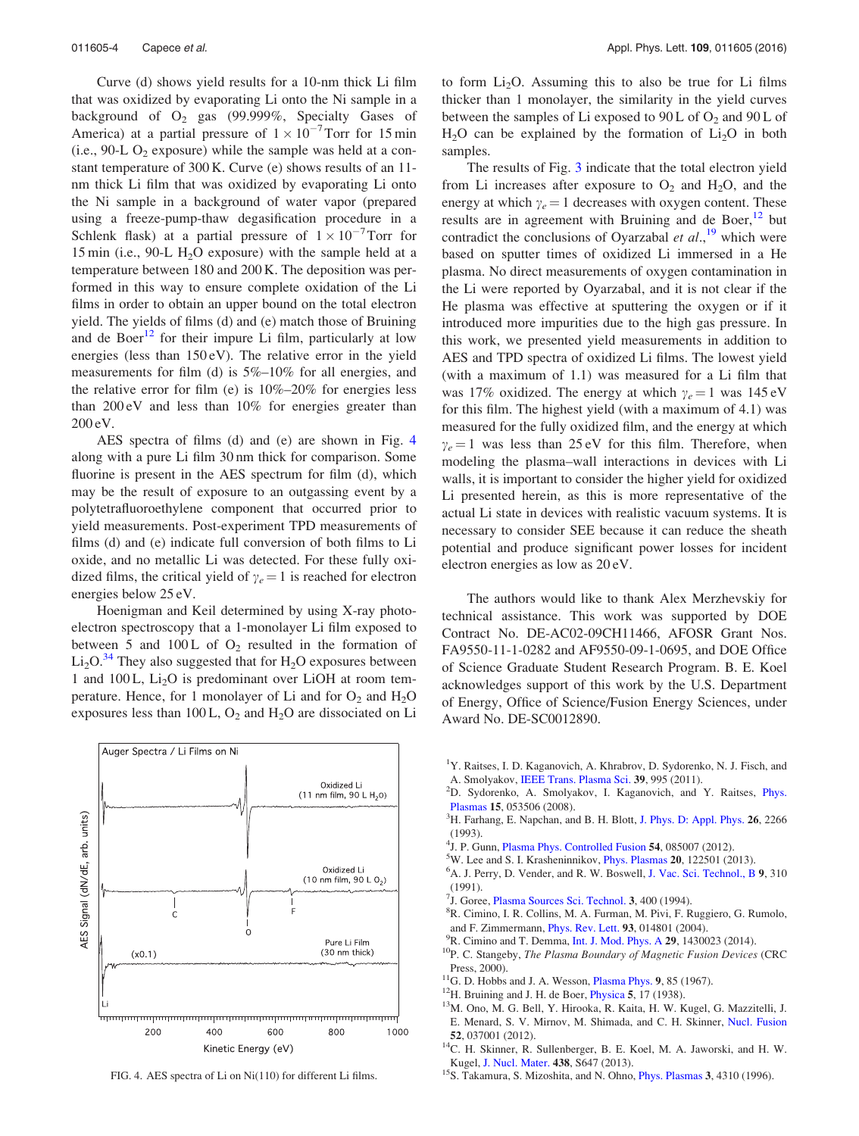<span id="page-4-0"></span>Curve (d) shows yield results for a 10-nm thick Li film that was oxidized by evaporating Li onto the Ni sample in a background of  $O_2$  gas (99.999%, Specialty Gases of America) at a partial pressure of  $1 \times 10^{-7}$  Torr for 15 min  $(i.e., 90-L O<sub>2</sub> exposure)$  while the sample was held at a constant temperature of 300 K. Curve (e) shows results of an 11 nm thick Li film that was oxidized by evaporating Li onto the Ni sample in a background of water vapor (prepared using a freeze-pump-thaw degasification procedure in a Schlenk flask) at a partial pressure of  $1 \times 10^{-7}$ Torr for 15 min (i.e., 90-L  $H<sub>2</sub>O$  exposure) with the sample held at a temperature between 180 and 200 K. The deposition was performed in this way to ensure complete oxidation of the Li films in order to obtain an upper bound on the total electron yield. The yields of films (d) and (e) match those of Bruining and de Boer $12$  for their impure Li film, particularly at low energies (less than 150 eV). The relative error in the yield measurements for film (d) is 5%–10% for all energies, and the relative error for film (e) is  $10\% - 20\%$  for energies less than 200 eV and less than 10% for energies greater than 200 eV.

AES spectra of films (d) and (e) are shown in Fig. 4 along with a pure Li film 30 nm thick for comparison. Some fluorine is present in the AES spectrum for film (d), which may be the result of exposure to an outgassing event by a polytetrafluoroethylene component that occurred prior to yield measurements. Post-experiment TPD measurements of films (d) and (e) indicate full conversion of both films to Li oxide, and no metallic Li was detected. For these fully oxidized films, the critical yield of  $\gamma_e = 1$  is reached for electron energies below 25 eV.

Hoenigman and Keil determined by using X-ray photoelectron spectroscopy that a 1-monolayer Li film exposed to between 5 and 100L of  $O_2$  resulted in the formation of  $Li<sub>2</sub>O<sup>34</sup>$  $Li<sub>2</sub>O<sup>34</sup>$  $Li<sub>2</sub>O<sup>34</sup>$  They also suggested that for  $H<sub>2</sub>O$  exposures between 1 and 100 L,  $Li<sub>2</sub>O$  is predominant over LiOH at room temperature. Hence, for 1 monolayer of Li and for  $O_2$  and  $H_2O$ exposures less than 100 L,  $O_2$  and  $H_2O$  are dissociated on Li



to form  $Li<sub>2</sub>O$ . Assuming this to also be true for Li films thicker than 1 monolayer, the similarity in the yield curves between the samples of Li exposed to  $90L$  of  $O<sub>2</sub>$  and  $90L$  of  $H<sub>2</sub>O$  can be explained by the formation of  $Li<sub>2</sub>O$  in both samples.

The results of Fig. [3](#page-3-0) indicate that the total electron yield from Li increases after exposure to  $O_2$  and  $H_2O$ , and the energy at which  $\gamma_e = 1$  decreases with oxygen content. These results are in agreement with Bruining and de Boer, $12$  but contradict the conclusions of Oyarzabal et  $al$ ,<sup>19</sup> which were based on sputter times of oxidized Li immersed in a He plasma. No direct measurements of oxygen contamination in the Li were reported by Oyarzabal, and it is not clear if the He plasma was effective at sputtering the oxygen or if it introduced more impurities due to the high gas pressure. In this work, we presented yield measurements in addition to AES and TPD spectra of oxidized Li films. The lowest yield (with a maximum of 1.1) was measured for a Li film that was 17% oxidized. The energy at which  $\gamma_e = 1$  was 145 eV for this film. The highest yield (with a maximum of 4.1) was measured for the fully oxidized film, and the energy at which  $\gamma_e = 1$  was less than 25 eV for this film. Therefore, when modeling the plasma–wall interactions in devices with Li walls, it is important to consider the higher yield for oxidized Li presented herein, as this is more representative of the actual Li state in devices with realistic vacuum systems. It is necessary to consider SEE because it can reduce the sheath potential and produce significant power losses for incident electron energies as low as 20 eV.

The authors would like to thank Alex Merzhevskiy for technical assistance. This work was supported by DOE Contract No. DE-AC02-09CH11466, AFOSR Grant Nos. FA9550-11-1-0282 and AF9550-09-1-0695, and DOE Office of Science Graduate Student Research Program. B. E. Koel acknowledges support of this work by the U.S. Department of Energy, Office of Science/Fusion Energy Sciences, under Award No. DE-SC0012890.

- <sup>1</sup>Y. Raitses, I. D. Kaganovich, A. Khrabrov, D. Sydorenko, N. J. Fisch, and A. Smolyakov, [IEEE Trans. Plasma Sci.](http://dx.doi.org/10.1109/TPS.2011.2109403) <sup>39</sup>, 995 (2011). <sup>2</sup>
- <sup>2</sup>D. Sydorenko, A. Smolyakov, I. Kaganovich, and Y. Raitses, *[Phys.](http://dx.doi.org/10.1063/1.2918333)* [Plasmas](http://dx.doi.org/10.1063/1.2918333) <sup>15</sup>, 053506 (2008). <sup>3</sup>
- <sup>3</sup>H. Farhang, E. Napchan, and B. H. Blott, [J. Phys. D: Appl. Phys.](http://dx.doi.org/10.1088/0022-3727/26/12/026) 26, 2266 (1993).
- <sup>4</sup> J. P. Gunn, [Plasma Phys. Controlled Fusion](http://dx.doi.org/10.1088/0741-3335/54/8/085007) 54, 085007 (2012).<br><sup>5</sup> W. Lee and S. J. Krasbeninnikov, Phys. Plasmas **20**, 122501 (20
- $5$ W. Lee and S. I. Krasheninnikov, *[Phys. Plasmas](http://dx.doi.org/10.1063/1.4835295)* 20, 122501 (2013).
- <sup>6</sup>A. J. Perry, D. Vender, and R. W. Boswell, [J. Vac. Sci. Technol., B](http://dx.doi.org/10.1116/1.585611) 9, 310 (1991).
- <sup>7</sup>J. Goree, [Plasma Sources Sci. Technol.](http://dx.doi.org/10.1088/0963-0252/3/3/025) **3**, 400 (1994).
- R. Cimino, I. R. Collins, M. A. Furman, M. Pivi, F. Ruggiero, G. Rumolo, and F. Zimmermann, *[Phys. Rev. Lett.](http://dx.doi.org/10.1103/PhysRevLett.93.014801)* **93**, 014801 (2004). <sup>9</sup>R. Cimino and T. Demma, Int. J. Mod. *Phys. A* **29**, 1430023 (2014).
- 
- $10P$ . C. Stangeby, The Plasma Boundary of Magnetic Fusion Devices (CRC Press, 2000).<br><sup>11</sup>G. D. Hobbs and J. A. Wesson, [Plasma Phys.](http://dx.doi.org/10.1088/0032-1028/9/1/410) 9, 85 (1967).<br><sup>12</sup>H. Bruining and J. H. de Boer, [Physica](http://dx.doi.org/10.1016/S0031-8914(38)80103-8) 5, 17 (1938).<br><sup>13</sup>M. Ono, M. G. Bell, Y. Hirooka, R. Kaita, H. W. Kugel, G. Mazzitelli, J.
- 
- 
- E. Menard, S. V. Mirnov, M. Shimada, and C. H. Skinner, [Nucl. Fusion](http://dx.doi.org/10.1088/0029-5515/52/3/037001)
- 52, 037001 (2012).  $14^4$ C. H. Skinner, R. Sullenberger, B. E. Koel, M. A. Jaworski, and H. W.
- Kugel, [J. Nucl. Mater.](http://dx.doi.org/10.1016/j.jnucmat.2013.01.136) 438, S647 (2013).<br>
<sup>15</sup> S. Takamura, S. Mizoshita, and N. Ohno, [Phys. Plasmas](http://dx.doi.org/10.1063/1.871962) 3, 4310 (1996).<br>
<sup>15</sup> S. Takamura, S. Mizoshita, and N. Ohno, Phys. Plasmas 3, 4310 (1996).